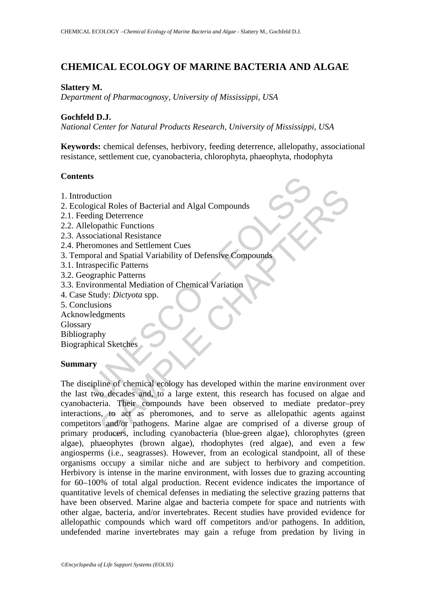# **CHEMICAL ECOLOGY OF MARINE BACTERIA AND ALGAE**

#### **Slattery M.**

*Department of Pharmacognosy, University of Mississippi, USA* 

### **Gochfeld D.J.**

*National Center for Natural Products Research, University of Mississippi, USA* 

**Keywords:** chemical defenses, herbivory, feeding deterrence, allelopathy, associational resistance, settlement cue, cyanobacteria, chlorophyta, phaeophyta, rhodophyta

#### **Contents**

- 1. Introduction
- 2. Ecological Roles of Bacterial and Algal Compounds
- 2.1. Feeding Deterrence
- 2.2. Allelopathic Functions
- 2.3. Associational Resistance
- 2.4. Pheromones and Settlement Cues
- 3. Temporal and Spatial Variability of Defensive Compounds
- 3.1. Intraspecific Patterns
- 3.2. Geographic Patterns
- 3.3. Environmental Mediation of Chemical Variation
- 4. Case Study: *Dictyota* spp.
- 5. Conclusions
- Acknowledgments

Glossary

Bibliography

Biographical Sketches

### **Summary**

Is<br>
duction<br>
duction<br>
ogical Roles of Bacterial and Algal Compounds<br>
ding Deterrence<br>
elopathic Functions<br>
cociational Resistance<br>
corrences and Settlement Cues<br>
aspecific Patterns<br>
ographic Patterns<br>
ographic Patterns<br>
vi tion<br>
and Roles of Bacterial and Algal Compounds<br>
g Deterrence<br>
and Spatilic Functions<br>
and Spatial Variability of Defensive Compounds<br>
and Spatial Variability of Defensive Compounds<br>
engine Patterns<br>
and Spatial Mediation The discipline of chemical ecology has developed within the marine environment over the last two decades and, to a large extent, this research has focused on algae and cyanobacteria. Their compounds have been observed to mediate predator–prey interactions, to act as pheromones, and to serve as allelopathic agents against competitors and/or pathogens. Marine algae are comprised of a diverse group of primary producers, including cyanobacteria (blue-green algae), chlorophytes (green algae), phaeophytes (brown algae), rhodophytes (red algae), and even a few angiosperms (i.e., seagrasses). However, from an ecological standpoint, all of these organisms occupy a similar niche and are subject to herbivory and competition. Herbivory is intense in the marine environment, with losses due to grazing accounting for 60–100% of total algal production. Recent evidence indicates the importance of quantitative levels of chemical defenses in mediating the selective grazing patterns that have been observed. Marine algae and bacteria compete for space and nutrients with other algae, bacteria, and/or invertebrates. Recent studies have provided evidence for allelopathic compounds which ward off competitors and/or pathogens. In addition, undefended marine invertebrates may gain a refuge from predation by living in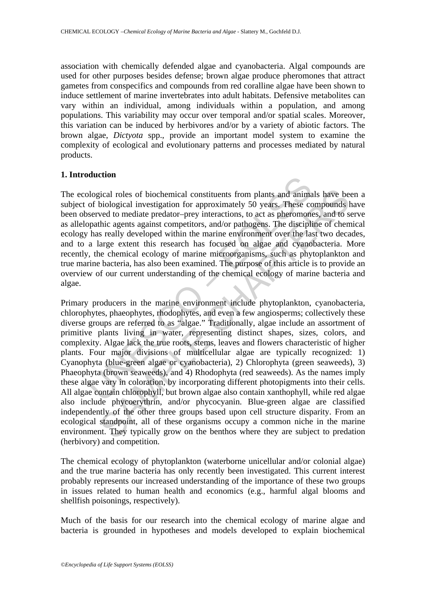association with chemically defended algae and cyanobacteria. Algal compounds are used for other purposes besides defense; brown algae produce pheromones that attract gametes from conspecifics and compounds from red coralline algae have been shown to induce settlement of marine invertebrates into adult habitats. Defensive metabolites can vary within an individual, among individuals within a population, and among populations. This variability may occur over temporal and/or spatial scales. Moreover, this variation can be induced by herbivores and/or by a variety of abiotic factors. The brown algae, *Dictyota* spp., provide an important model system to examine the complexity of ecological and evolutionary patterns and processes mediated by natural products.

#### **1. Introduction**

The ecological roles of biochemical constituents from plants and animals have been a subject of biological investigation for approximately 50 years. These compounds have been observed to mediate predator–prey interactions, to act as pheromones, and to serve as allelopathic agents against competitors, and/or pathogens. The discipline of chemical ecology has really developed within the marine environment over the last two decades, and to a large extent this research has focused on algae and cyanobacteria. More recently, the chemical ecology of marine microorganisms, such as phytoplankton and true marine bacteria, has also been examined. The purpose of this article is to provide an overview of our current understanding of the chemical ecology of marine bacteria and algae.

blogical roles of biochemical constituents from plants and animate of biological investigation for approximately 50 years. These coserved to mediate predator-prey interactions, to act as pheromonopathic agents against comp icial roles of biochemical constituents from plants and animals have be<br>biological investigation for approximately 50 years. These compounds l<br>weld to mediate predator-prey interactions, to act as pheromores, and to<br>set a Primary producers in the marine environment include phytoplankton, cyanobacteria, chlorophytes, phaeophytes, rhodophytes, and even a few angiosperms; collectively these diverse groups are referred to as "algae." Traditionally, algae include an assortment of primitive plants living in water, representing distinct shapes, sizes, colors, and complexity. Algae lack the true roots, stems, leaves and flowers characteristic of higher plants. Four major divisions of multicellular algae are typically recognized: 1) Cyanophyta (blue-green algae or cyanobacteria), 2) Chlorophyta (green seaweeds), 3) Phaeophyta (brown seaweeds), and 4) Rhodophyta (red seaweeds). As the names imply these algae vary in coloration, by incorporating different photopigments into their cells. All algae contain chlorophyll, but brown algae also contain xanthophyll, while red algae also include phycoerythrin, and/or phycocyanin. Blue-green algae are classified independently of the other three groups based upon cell structure disparity. From an ecological standpoint, all of these organisms occupy a common niche in the marine environment. They typically grow on the benthos where they are subject to predation (herbivory) and competition.

The chemical ecology of phytoplankton (waterborne unicellular and/or colonial algae) and the true marine bacteria has only recently been investigated. This current interest probably represents our increased understanding of the importance of these two groups in issues related to human health and economics (e.g., harmful algal blooms and shellfish poisonings, respectively).

Much of the basis for our research into the chemical ecology of marine algae and bacteria is grounded in hypotheses and models developed to explain biochemical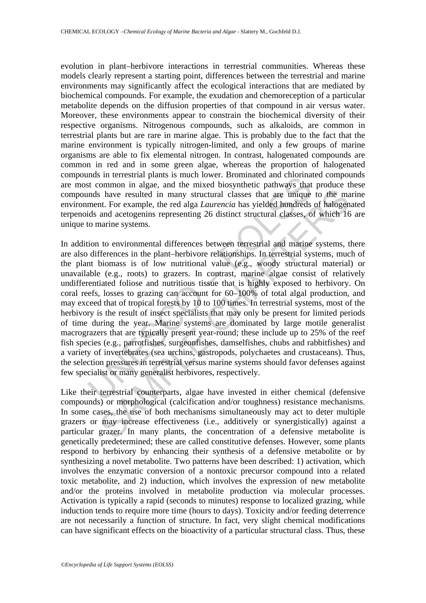evolution in plant–herbivore interactions in terrestrial communities. Whereas these models clearly represent a starting point, differences between the terrestrial and marine environments may significantly affect the ecological interactions that are mediated by biochemical compounds. For example, the exudation and chemoreception of a particular metabolite depends on the diffusion properties of that compound in air versus water. Moreover, these environments appear to constrain the biochemical diversity of their respective organisms. Nitrogenous compounds, such as alkaloids, are common in terrestrial plants but are rare in marine algae. This is probably due to the fact that the marine environment is typically nitrogen-limited, and only a few groups of marine organisms are able to fix elemental nitrogen. In contrast, halogenated compounds are common in red and in some green algae, whereas the proportion of halogenated compounds in terrestrial plants is much lower. Brominated and chlorinated compounds are most common in algae, and the mixed biosynthetic pathways that produce these compounds have resulted in many structural classes that are unique to the marine environment. For example, the red alga *Laurencia* has yielded hundreds of halogenated terpenoids and acetogenins representing 26 distinct structural classes, of which 16 are unique to marine systems.

Insular learned parals is model out to commate and current and the common in algae, and the mixed biosynthetic pathways that ms have resulted in many structural classes that are unique ment. For example, the red alga *Laur* Is have resulted in many structural classes that are unique to the many structural classes that are unique to the many. Then the red alga *Laurencia* has yielded hundreds of halogen and acetogenins representing 26 distinct In addition to environmental differences between terrestrial and marine systems, there are also differences in the plant–herbivore relationships. In terrestrial systems, much of the plant biomass is of low nutritional value (e.g., woody structural material) or unavailable (e.g., roots) to grazers. In contrast, marine algae consist of relatively undifferentiated foliose and nutritious tissue that is highly exposed to herbivory. On coral reefs, losses to grazing can account for 60–100% of total algal production, and may exceed that of tropical forests by 10 to 100 times. In terrestrial systems, most of the herbivory is the result of insect specialists that may only be present for limited periods of time during the year. Marine systems are dominated by large motile generalist macrograzers that are typically present year-round; these include up to 25% of the reef fish species (e.g., parrotfishes, surgeonfishes, damselfishes, chubs and rabbitfishes) and a variety of invertebrates (sea urchins, gastropods, polychaetes and crustaceans). Thus, the selection pressures in terrestrial versus marine systems should favor defenses against few specialist or many generalist herbivores, respectively.

Like their terrestrial counterparts, algae have invested in either chemical (defensive compounds) or morphological (calcification and/or toughness) resistance mechanisms. In some cases, the use of both mechanisms simultaneously may act to deter multiple grazers or may increase effectiveness (i.e., additively or synergistically) against a particular grazer. In many plants, the concentration of a defensive metabolite is genetically predetermined; these are called constitutive defenses. However, some plants respond to herbivory by enhancing their synthesis of a defensive metabolite or by synthesizing a novel metabolite. Two patterns have been described: 1) activation, which involves the enzymatic conversion of a nontoxic precursor compound into a related toxic metabolite, and 2) induction, which involves the expression of new metabolite and/or the proteins involved in metabolite production via molecular processes. Activation is typically a rapid (seconds to minutes) response to localized grazing, while induction tends to require more time (hours to days). Toxicity and/or feeding deterrence are not necessarily a function of structure. In fact, very slight chemical modifications can have significant effects on the bioactivity of a particular structural class. Thus, these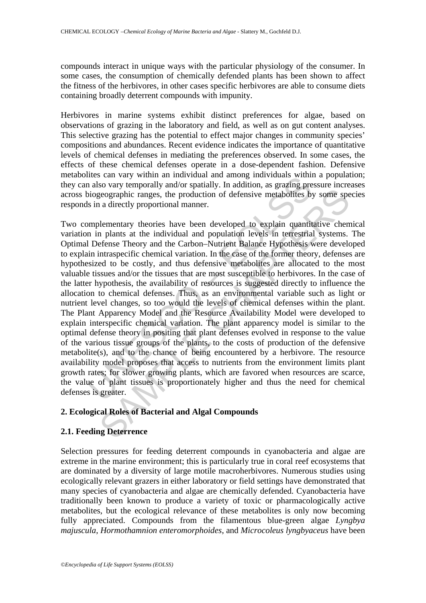compounds interact in unique ways with the particular physiology of the consumer. In some cases, the consumption of chemically defended plants has been shown to affect the fitness of the herbivores, in other cases specific herbivores are able to consume diets containing broadly deterrent compounds with impunity.

Herbivores in marine systems exhibit distinct preferences for algae, based on observations of grazing in the laboratory and field, as well as on gut content analyses. This selective grazing has the potential to effect major changes in community species' compositions and abundances. Recent evidence indicates the importance of quantitative levels of chemical defenses in mediating the preferences observed. In some cases, the effects of these chemical defenses operate in a dose-dependent fashion. Defensive metabolites can vary within an individual and among individuals within a population; they can also vary temporally and/or spatially. In addition, as grazing pressure increases across biogeographic ranges, the production of defensive metabolites by some species responds in a directly proportional manner.

Inters can vary within an invividual and anong individual and an also vary temporally and/or spatially. In addition, as grazing pre-<br>piogeographic ranges, the production of defensive metabolities by<br>biogeographic ranges, t egographic ranges, the production of defensive metabolities by some speed<br>geographic ranges, the production of defensive metabolities by some speed<br>and directly proportional manner.<br>Mementary theories have been developed t Two complementary theories have been developed to explain quantitative chemical variation in plants at the individual and population levels in terrestrial systems. The Optimal Defense Theory and the Carbon–Nutrient Balance Hypothesis were developed to explain intraspecific chemical variation. In the case of the former theory, defenses are hypothesized to be costly, and thus defensive metabolites are allocated to the most valuable tissues and/or the tissues that are most susceptible to herbivores. In the case of the latter hypothesis, the availability of resources is suggested directly to influence the allocation to chemical defenses. Thus, as an environmental variable such as light or nutrient level changes, so too would the levels of chemical defenses within the plant. The Plant Apparency Model and the Resource Availability Model were developed to explain interspecific chemical variation. The plant apparency model is similar to the optimal defense theory in positing that plant defenses evolved in response to the value of the various tissue groups of the plants, to the costs of production of the defensive metabolite(s), and to the chance of being encountered by a herbivore. The resource availability model proposes that access to nutrients from the environment limits plant growth rates; for slower growing plants, which are favored when resources are scarce, the value of plant tissues is proportionately higher and thus the need for chemical defenses is greater.

#### **2. Ecological Roles of Bacterial and Algal Compounds**

#### **2.1. Feeding Deterrence**

Selection pressures for feeding deterrent compounds in cyanobacteria and algae are extreme in the marine environment; this is particularly true in coral reef ecosystems that are dominated by a diversity of large motile macroherbivores. Numerous studies using ecologically relevant grazers in either laboratory or field settings have demonstrated that many species of cyanobacteria and algae are chemically defended. Cyanobacteria have traditionally been known to produce a variety of toxic or pharmacologically active metabolites, but the ecological relevance of these metabolites is only now becoming fully appreciated. Compounds from the filamentous blue-green algae *Lyngbya majuscula*, *Hormothamnion enteromorphoides*, and *Microcoleus lyngbyaceus* have been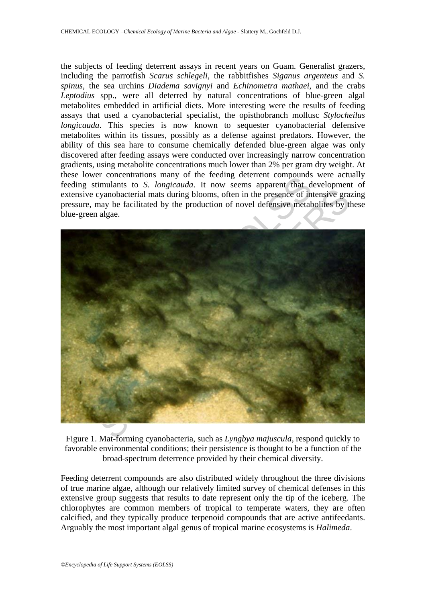the subjects of feeding deterrent assays in recent years on Guam. Generalist grazers, including the parrotfish *Scarus schlegeli*, the rabbitfishes *Siganus argenteus* and *S. spinus*, the sea urchins *Diadema savignyi* and *Echinometra mathaei*, and the crabs *Leptodius* spp., were all deterred by natural concentrations of blue-green algal metabolites embedded in artificial diets. More interesting were the results of feeding assays that used a cyanobacterial specialist, the opisthobranch mollusc *Stylocheilus longicauda*. This species is now known to sequester cyanobacterial defensive metabolites within its tissues, possibly as a defense against predators. However, the ability of this sea hare to consume chemically defended blue-green algae was only discovered after feeding assays were conducted over increasingly narrow concentration gradients, using metabolite concentrations much lower than 2% per gram dry weight. At these lower concentrations many of the feeding deterrent compounds were actually feeding stimulants to *S. longicauda*. It now seems apparent that development of extensive cyanobacterial mats during blooms, often in the presence of intensive grazing pressure, may be facilitated by the production of novel defensive metabolites by these blue-green algae.



Figure 1. Mat-forming cyanobacteria, such as *Lyngbya majuscula*, respond quickly to favorable environmental conditions; their persistence is thought to be a function of the broad-spectrum deterrence provided by their chemical diversity.

Feeding deterrent compounds are also distributed widely throughout the three divisions of true marine algae, although our relatively limited survey of chemical defenses in this extensive group suggests that results to date represent only the tip of the iceberg. The chlorophytes are common members of tropical to temperate waters, they are often calcified, and they typically produce terpenoid compounds that are active antifeedants. Arguably the most important algal genus of tropical marine ecosystems is *Halimeda*.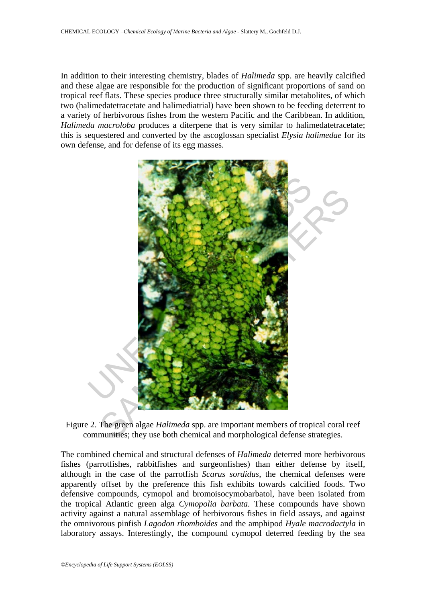In addition to their interesting chemistry, blades of *Halimeda* spp. are heavily calcified and these algae are responsible for the production of significant proportions of sand on tropical reef flats. These species produce three structurally similar metabolites, of which two (halimedatetracetate and halimediatrial) have been shown to be feeding deterrent to a variety of herbivorous fishes from the western Pacific and the Caribbean. In addition, *Halimeda macroloba* produces a diterpene that is very similar to halimedatetracetate; this is sequestered and converted by the ascoglossan specialist *Elysia halimedae* for its own defense, and for defense of its egg masses.



Figure 2. The green algae *Halimeda* spp. are important members of tropical coral reef communities; they use both chemical and morphological defense strategies.

The combined chemical and structural defenses of *Halimeda* deterred more herbivorous fishes (parrotfishes, rabbitfishes and surgeonfishes) than either defense by itself, although in the case of the parrotfish *Scarus sordidus*, the chemical defenses were apparently offset by the preference this fish exhibits towards calcified foods. Two defensive compounds, cymopol and bromoisocymobarbatol, have been isolated from the tropical Atlantic green alga *Cymopolia barbata.* These compounds have shown activity against a natural assemblage of herbivorous fishes in field assays, and against the omnivorous pinfish *Lagodon rhomboides* and the amphipod *Hyale macrodactyla* in laboratory assays. Interestingly, the compound cymopol deterred feeding by the sea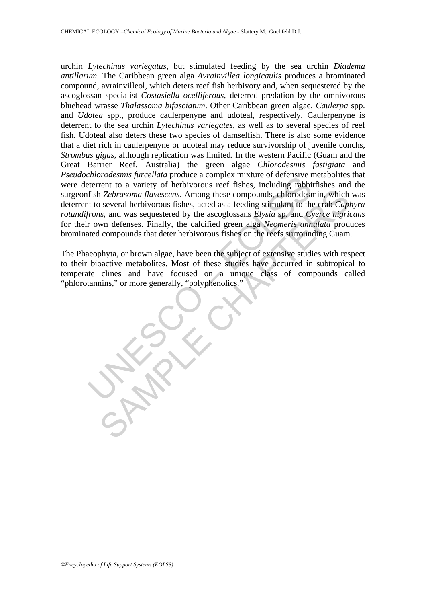*Morocasmis juretuala* produce a complex mixture or coerasive treterent to a variety of herbivorous reef fishes, including rabitistic fishes *Zebrasoma flavescens*. Among these compounds, chlorodes to to several herbivorou The *Lehrasoma flavescens*. Among these compounds, chlorodesmin, which several herbivorous fishes, acted as a feeding stimulant to the crab *Capi* and was sequestered by the associates *Expansion Elysia* as *p. and Ocyre m* urchin *Lytechinus variegatus*, but stimulated feeding by the sea urchin *Diadema antillarum.* The Caribbean green alga *Avrainvillea longicaulis* produces a brominated compound, avrainvilleol, which deters reef fish herbivory and, when sequestered by the ascoglossan specialist *Costasiella ocelliferous*, deterred predation by the omnivorous bluehead wrasse *Thalassoma bifasciatum*. Other Caribbean green algae, *Caulerpa* spp. and *Udotea* spp., produce caulerpenyne and udoteal, respectively. Caulerpenyne is deterrent to the sea urchin *Lytechinus variegates*, as well as to several species of reef fish. Udoteal also deters these two species of damselfish. There is also some evidence that a diet rich in caulerpenyne or udoteal may reduce survivorship of juvenile conchs, *Strombus gigas*, although replication was limited. In the western Pacific (Guam and the Great Barrier Reef, Australia) the green algae *Chlorodesmis fastigiata* and *Pseudochlorodesmis furcellata* produce a complex mixture of defensive metabolites that were deterrent to a variety of herbivorous reef fishes, including rabbitfishes and the surgeonfish *Zebrasoma flavescens*. Among these compounds, chlorodesmin, which was deterrent to several herbivorous fishes, acted as a feeding stimulant to the crab *Caphyra rotundifrons*, and was sequestered by the ascoglossans *Elysia* sp. and *Cyerce nigricans* for their own defenses. Finally, the calcified green alga *Neomeris annulata* produces brominated compounds that deter herbivorous fishes on the reefs surrounding Guam.

The Phaeophyta, or brown algae, have been the subject of extensive studies with respect to their bioactive metabolites. Most of these studies have occurred in subtropical to temperate clines and have focused on a unique class of compounds called "phlorotannins," or more generally, "polyphenolics."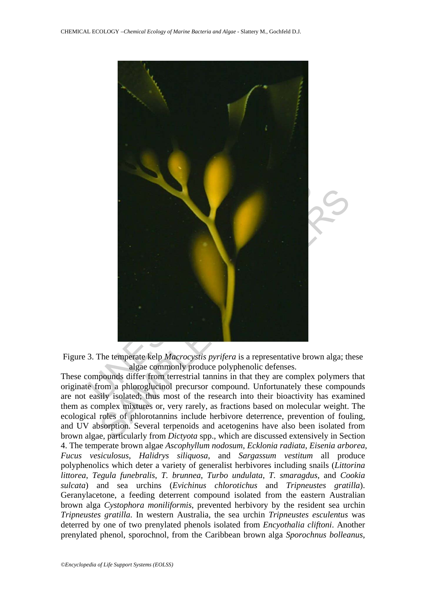

Figure 3. The temperate kelp *Macrocystis pyrifera* is a representative brown alga; these algae commonly produce polyphenolic defenses.

These compounds differ from terrestrial tannins in that they are complex polymers that originate from a phloroglucinol precursor compound. Unfortunately these compounds are not easily isolated; thus most of the research into their bioactivity has examined them as complex mixtures or, very rarely, as fractions based on molecular weight. The ecological roles of phlorotannins include herbivore deterrence, prevention of fouling, and UV absorption. Several terpenoids and acetogenins have also been isolated from brown algae, particularly from *Dictyota* spp., which are discussed extensively in Section 4. The temperate brown algae *Ascophyllum nodosum*, *Ecklonia radiata*, *Eisenia arborea*, *Fucus vesiculosus*, *Halidrys siliquosa*, and *Sargassum vestitum* all produce polyphenolics which deter a variety of generalist herbivores including snails (*Littorina littorea*, *Tegula funebralis*, *T. brunnea*, *Turbo undulata*, *T. smaragdus*, and *Cookia sulcata*) and sea urchins (*Evichinus chlorotichus* and *Tripneustes gratilla*). Geranylacetone, a feeding deterrent compound isolated from the eastern Australian brown alga *Cystophora moniliformis*, prevented herbivory by the resident sea urchin *Tripneustes gratilla*. In western Australia, the sea urchin *Tripneustes esculentus* was deterred by one of two prenylated phenols isolated from *Encyothalia cliftoni*. Another prenylated phenol, sporochnol, from the Caribbean brown alga *Sporochnus bolleanus*,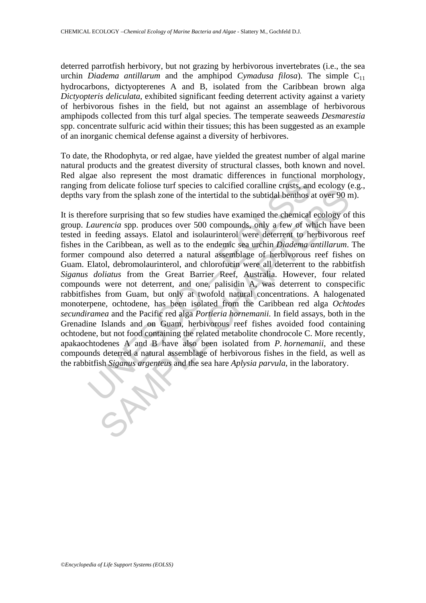deterred parrotfish herbivory, but not grazing by herbivorous invertebrates (i.e., the sea urchin *Diadema antillarum* and the amphipod *Cymadusa filosa*). The simple  $C_{11}$ hydrocarbons, dictyopterenes A and B, isolated from the Caribbean brown alga *Dictyopteris deliculata*, exhibited significant feeding deterrent activity against a variety of herbivorous fishes in the field, but not against an assemblage of herbivorous amphipods collected from this turf algal species. The temperate seaweeds *Desmarestia* spp. concentrate sulfuric acid within their tissues; this has been suggested as an example of an inorganic chemical defense against a diversity of herbivores.

To date, the Rhodophyta, or red algae, have yielded the greatest number of algal marine natural products and the greatest diversity of structural classes, both known and novel. Red algae also represent the most dramatic differences in functional morphology, ranging from delicate foliose turf species to calcified coralline crusts, and ecology (e.g., depths vary from the splash zone of the intertidal to the subtidal benthos at over 90 m).

gae also represent the most dramatic differences in functions<br>from delicate foliose turf species to calcified coralline crusts, and<br>any from the splash zone of the intertidal to the subtidal benhos a<br>refore surprising that In someon to the sphere of courses that the sphere of the intertain crossor and consider throw the sphah zone of the intertidal to the subtidal benthos at over 90 nore surprising that so few studies have examined the chem It is therefore surprising that so few studies have examined the chemical ecology of this group. *Laurencia* spp. produces over 500 compounds, only a few of which have been tested in feeding assays. Elatol and isolaurinterol were deterrent to herbivorous reef fishes in the Caribbean, as well as to the endemic sea urchin *Diadema antillarum*. The former compound also deterred a natural assemblage of herbivorous reef fishes on Guam. Elatol, debromolaurinterol, and chlorofucin were all deterrent to the rabbitfish *Siganus doliatus* from the Great Barrier Reef, Australia. However, four related compounds were not deterrent, and one, palisidin A, was deterrent to conspecific rabbitfishes from Guam, but only at twofold natural concentrations. A halogenated monoterpene, ochtodene, has been isolated from the Caribbean red alga *Ochtodes secundiramea* and the Pacific red alga *Portieria hornemanii.* In field assays, both in the Grenadine Islands and on Guam, herbivorous reef fishes avoided food containing ochtodene, but not food containing the related metabolite chondrocole C. More recently, apakaochtodenes A and B have also been isolated from *P. hornemanii*, and these compounds deterred a natural assemblage of herbivorous fishes in the field, as well as the rabbitfish *Siganus argenteus* and the sea hare *Aplysia parvula*, in the laboratory.

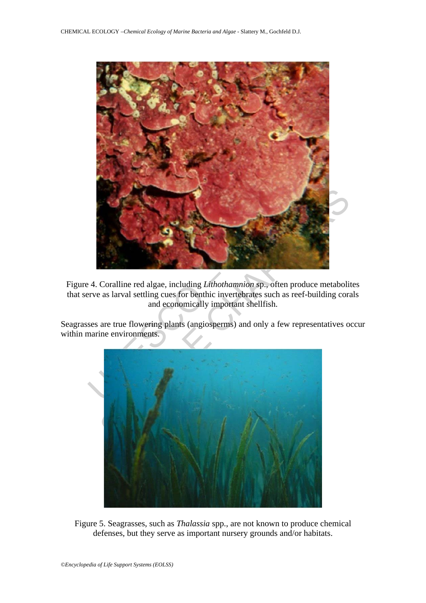

Figure 4. Coralline red algae, including *Lithothamnion* sp., often produce metabolites that serve as larval settling cues for benthic invertebrates such as reef-building corals and economically important shellfish.

Seagrasses are true flowering plants (angiosperms) and only a few representatives occur within marine environments.



Figure 5. Seagrasses, such as *Thalassia* spp., are not known to produce chemical defenses, but they serve as important nursery grounds and/or habitats.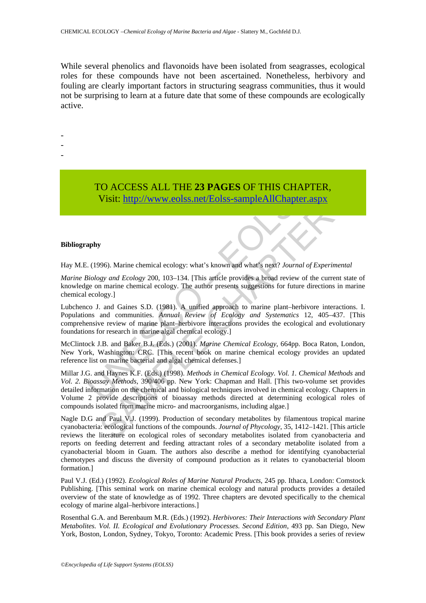While several phenolics and flavonoids have been isolated from seagrasses, ecological roles for these compounds have not been ascertained. Nonetheless, herbivory and fouling are clearly important factors in structuring seagrass communities, thus it would not be surprising to learn at a future date that some of these compounds are ecologically active.

- -
- -
- -

## TO ACCESS ALL THE **23 PAGES** OF THIS CHAPTER, Visit: http://www.eolss.net/Eolss-sampleAllChapter.aspx

#### **Bibliography**

Hay M.E. (1996). Marine chemical ecology: what's known and what's next? *Journal of Experimental* 

*Marine Biology and Ecology* 200, 103–134. [This article provides a broad review of the current state of knowledge on marine chemical ecology. The author presents suggestions for future directions in marine chemical ecology.]

TO ACCESS ALL THE 23 PAGES OF THIS CHAPT<br>Visit: http://www.colss.net/Eolss-sampleAllChapter.a<br>(1996). Marine chemical ecology: what's known and what's next? Journal of<br>iology and Ecology 200, 103-134. [This article provide Lubchenco J. and Gaines S.D. (1981). A unified approach to marine plant–herbivore interactions. I. Populations and communities. *Annual Review of Ecology and Systematics* 12, 405–437. [This comprehensive review of marine plant–herbivore interactions provides the ecological and evolutionary foundations for research in marine algal chemical ecology.]

McClintock J.B. and Baker B.J. (Eds.) (2001). *Marine Chemical Ecology*, 664pp. Boca Raton, London, New York, Washington: CRC. [This recent book on marine chemical ecology provides an updated reference list on marine bacterial and algal chemical defenses.]

**US ACCESS ALL THE 25 PAGES OF THIS CHAPTER,**<br>
Visit:  $\frac{1}{2}$  Visit:  $\frac{1}{2}$  Visit:  $\frac{1}{2}$  Visit:  $\frac{1}{2}$  Visit:  $\frac{1}{2}$  Visit:  $\frac{1}{2}$  Visit:  $\frac{1}{2}$  Visit:  $\frac{1}{2}$  Visit:  $\frac{1}{2}$  Visit:  $\frac{1}{2}$  Visi Millar J.G. and Haynes K.F. (Eds.) (1998). *Methods in Chemical Ecology. Vol. 1. Chemical Methods* and *Vol. 2. Bioassay Methods*, 390/406 pp. New York: Chapman and Hall. [This two-volume set provides detailed information on the chemical and biological techniques involved in chemical ecology. Chapters in Volume 2 provide descriptions of bioassay methods directed at determining ecological roles of compounds isolated from marine micro- and macroorganisms, including algae.]

Nagle D.G and Paul V.J. (1999). Production of secondary metabolites by filamentous tropical marine cyanobacteria: ecological functions of the compounds. *Journal of Phycology*, 35, 1412–1421. [This article reviews the literature on ecological roles of secondary metabolites isolated from cyanobacteria and reports on feeding deterrent and feeding attractant roles of a secondary metabolite isolated from a cyanobacterial bloom in Guam. The authors also describe a method for identifying cyanobacterial chemotypes and discuss the diversity of compound production as it relates to cyanobacterial bloom formation.]

Paul V.J. (Ed.) (1992). *Ecological Roles of Marine Natural Products*, 245 pp. Ithaca, London: Comstock Publishing. [This seminal work on marine chemical ecology and natural products provides a detailed overview of the state of knowledge as of 1992. Three chapters are devoted specifically to the chemical ecology of marine algal–herbivore interactions.]

Rosenthal G.A. and Berenbaum M.R. (Eds.) (1992). *Herbivores: Their Interactions with Secondary Plant Metabolites. Vol. II. Ecological and Evolutionary Processes. Second Edition*, 493 pp. San Diego, New York, Boston, London, Sydney, Tokyo, Toronto: Academic Press. [This book provides a series of review